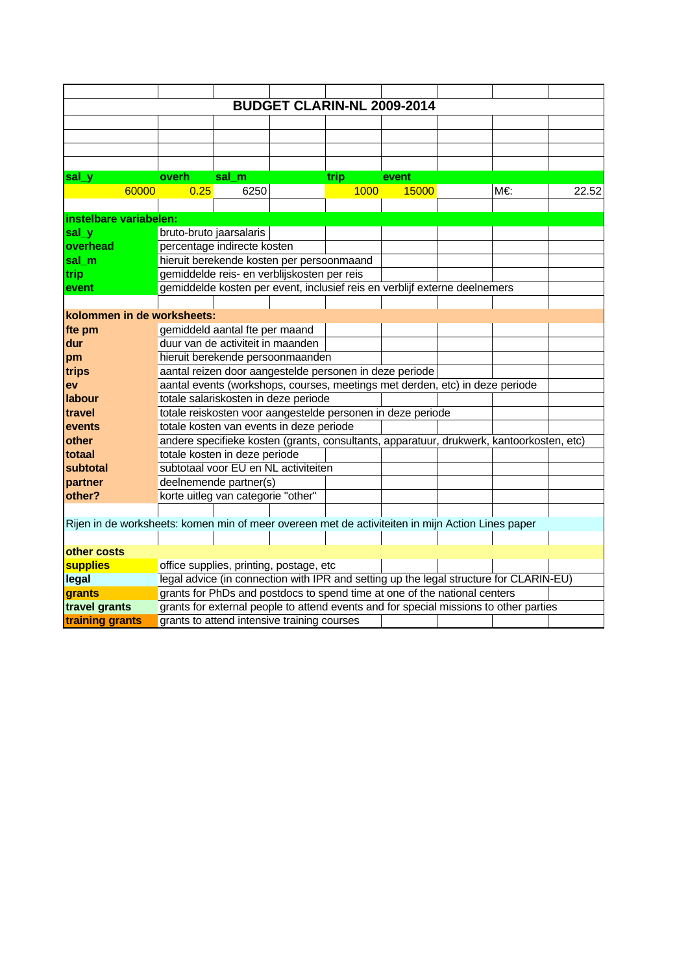|                                                                                                  |                                                                            |                                             |  |      | <b>BUDGET CLARIN-NL 2009-2014</b>                                                        |  |    |       |  |  |  |  |  |
|--------------------------------------------------------------------------------------------------|----------------------------------------------------------------------------|---------------------------------------------|--|------|------------------------------------------------------------------------------------------|--|----|-------|--|--|--|--|--|
|                                                                                                  |                                                                            |                                             |  |      |                                                                                          |  |    |       |  |  |  |  |  |
|                                                                                                  |                                                                            |                                             |  |      |                                                                                          |  |    |       |  |  |  |  |  |
|                                                                                                  |                                                                            |                                             |  |      |                                                                                          |  |    |       |  |  |  |  |  |
|                                                                                                  |                                                                            |                                             |  |      |                                                                                          |  |    |       |  |  |  |  |  |
| sal_y                                                                                            | overh                                                                      | sal m                                       |  | trip | event                                                                                    |  |    |       |  |  |  |  |  |
| 60000                                                                                            | 0.25                                                                       | 6250                                        |  | 1000 | 15000                                                                                    |  | M€ | 22.52 |  |  |  |  |  |
|                                                                                                  |                                                                            |                                             |  |      |                                                                                          |  |    |       |  |  |  |  |  |
| instelbare variabelen:                                                                           |                                                                            |                                             |  |      |                                                                                          |  |    |       |  |  |  |  |  |
| sal_y                                                                                            | bruto-bruto jaarsalaris                                                    |                                             |  |      |                                                                                          |  |    |       |  |  |  |  |  |
| overhead                                                                                         | percentage indirecte kosten                                                |                                             |  |      |                                                                                          |  |    |       |  |  |  |  |  |
| sal m                                                                                            | hieruit berekende kosten per persoonmaand                                  |                                             |  |      |                                                                                          |  |    |       |  |  |  |  |  |
| trip                                                                                             | gemiddelde reis- en verblijskosten per reis                                |                                             |  |      |                                                                                          |  |    |       |  |  |  |  |  |
| event                                                                                            | gemiddelde kosten per event, inclusief reis en verblijf externe deelnemers |                                             |  |      |                                                                                          |  |    |       |  |  |  |  |  |
|                                                                                                  |                                                                            |                                             |  |      |                                                                                          |  |    |       |  |  |  |  |  |
| kolommen in de worksheets:                                                                       |                                                                            |                                             |  |      |                                                                                          |  |    |       |  |  |  |  |  |
| fte pm                                                                                           | gemiddeld aantal fte per maand                                             |                                             |  |      |                                                                                          |  |    |       |  |  |  |  |  |
| dur                                                                                              | duur van de activiteit in maanden                                          |                                             |  |      |                                                                                          |  |    |       |  |  |  |  |  |
| pm                                                                                               | hieruit berekende persoonmaanden                                           |                                             |  |      |                                                                                          |  |    |       |  |  |  |  |  |
| trips                                                                                            | aantal reizen door aangestelde personen in deze periode                    |                                             |  |      |                                                                                          |  |    |       |  |  |  |  |  |
| ev                                                                                               |                                                                            |                                             |  |      | aantal events (workshops, courses, meetings met derden, etc) in deze periode             |  |    |       |  |  |  |  |  |
| <b>I</b> abour                                                                                   |                                                                            | totale salariskosten in deze periode        |  |      |                                                                                          |  |    |       |  |  |  |  |  |
| travel                                                                                           |                                                                            |                                             |  |      | totale reiskosten voor aangestelde personen in deze periode                              |  |    |       |  |  |  |  |  |
| events                                                                                           |                                                                            | totale kosten van events in deze periode    |  |      |                                                                                          |  |    |       |  |  |  |  |  |
| other                                                                                            |                                                                            |                                             |  |      | andere specifieke kosten (grants, consultants, apparatuur, drukwerk, kantoorkosten, etc) |  |    |       |  |  |  |  |  |
| totaal                                                                                           |                                                                            | totale kosten in deze periode               |  |      |                                                                                          |  |    |       |  |  |  |  |  |
| subtotal                                                                                         |                                                                            | subtotaal voor EU en NL activiteiten        |  |      |                                                                                          |  |    |       |  |  |  |  |  |
| partner                                                                                          |                                                                            | deelnemende partner(s)                      |  |      |                                                                                          |  |    |       |  |  |  |  |  |
| other?                                                                                           |                                                                            | korte uitleg van categorie "other"          |  |      |                                                                                          |  |    |       |  |  |  |  |  |
|                                                                                                  |                                                                            |                                             |  |      |                                                                                          |  |    |       |  |  |  |  |  |
| Rijen in de worksheets: komen min of meer overeen met de activiteiten in mijn Action Lines paper |                                                                            |                                             |  |      |                                                                                          |  |    |       |  |  |  |  |  |
|                                                                                                  |                                                                            |                                             |  |      |                                                                                          |  |    |       |  |  |  |  |  |
| other costs                                                                                      |                                                                            |                                             |  |      |                                                                                          |  |    |       |  |  |  |  |  |
| <b>supplies</b>                                                                                  |                                                                            | office supplies, printing, postage, etc     |  |      |                                                                                          |  |    |       |  |  |  |  |  |
| legal                                                                                            |                                                                            |                                             |  |      | legal advice (in connection with IPR and setting up the legal structure for CLARIN-EU)   |  |    |       |  |  |  |  |  |
| grants                                                                                           |                                                                            |                                             |  |      | grants for PhDs and postdocs to spend time at one of the national centers                |  |    |       |  |  |  |  |  |
| travel grants                                                                                    |                                                                            |                                             |  |      | grants for external people to attend events and for special missions to other parties    |  |    |       |  |  |  |  |  |
| training grants                                                                                  |                                                                            | grants to attend intensive training courses |  |      |                                                                                          |  |    |       |  |  |  |  |  |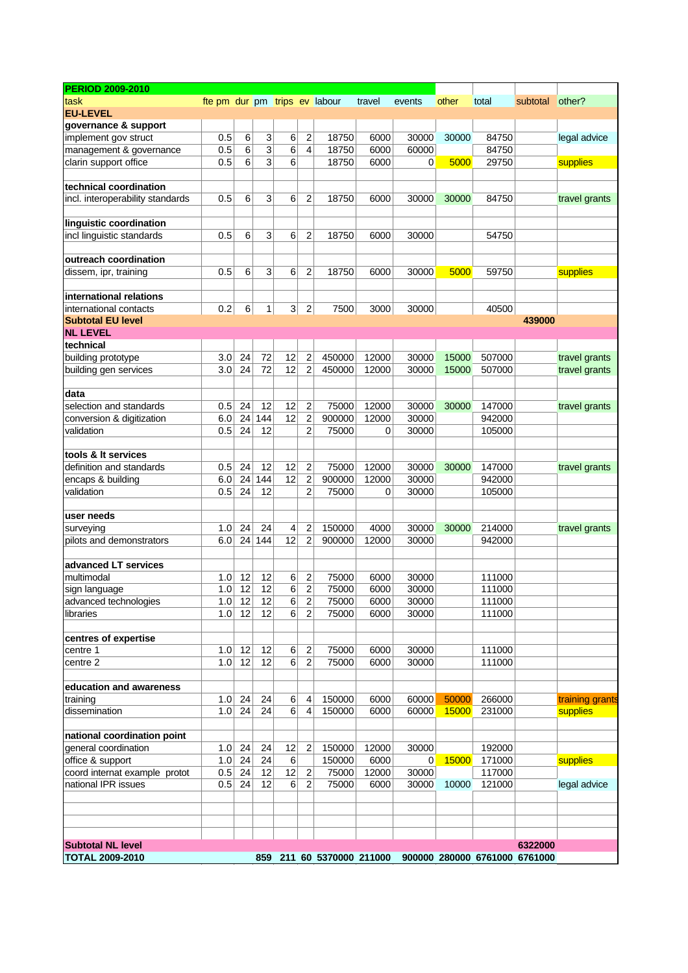| task<br><b>EU-LEVEL</b><br>governance & support<br>implement gov struct<br>management & governance<br>clarin support office | fte pm dur pm trips ev labour<br>0.5 | 6               |          |                            |                                  |                  | travel | events         | other | total  | subtotal | other?          |
|-----------------------------------------------------------------------------------------------------------------------------|--------------------------------------|-----------------|----------|----------------------------|----------------------------------|------------------|--------|----------------|-------|--------|----------|-----------------|
|                                                                                                                             |                                      |                 |          |                            |                                  |                  |        |                |       |        |          |                 |
|                                                                                                                             |                                      |                 |          |                            |                                  |                  |        |                |       |        |          |                 |
|                                                                                                                             |                                      |                 |          |                            |                                  |                  |        |                |       |        |          |                 |
|                                                                                                                             |                                      |                 | 3        | 6                          | $\overline{\mathbf{c}}$          | 18750            | 6000   | 30000          | 30000 | 84750  |          | legal advice    |
|                                                                                                                             | 0.5                                  | 6               | 3        | $\overline{6}$             | $\overline{4}$                   | 18750            | 6000   | 60000          |       | 84750  |          |                 |
|                                                                                                                             | 0.5                                  | 6               | 3        | 6                          |                                  | 18750            | 6000   | 0              | 5000  | 29750  |          | supplies        |
|                                                                                                                             |                                      |                 |          |                            |                                  |                  |        |                |       |        |          |                 |
| technical coordination                                                                                                      |                                      |                 |          |                            |                                  |                  |        |                |       |        |          |                 |
| incl. interoperability standards                                                                                            | 0.5                                  | 6               | 3        | 6                          | $\overline{2}$                   | 18750            | 6000   | 30000          | 30000 | 84750  |          | travel grants   |
|                                                                                                                             |                                      |                 |          |                            |                                  |                  |        |                |       |        |          |                 |
| linguistic coordination                                                                                                     |                                      |                 |          |                            |                                  |                  |        |                |       |        |          |                 |
| incl linguistic standards                                                                                                   | 0.5                                  | 6               | 3        | 6                          | 2                                | 18750            | 6000   | 30000          |       | 54750  |          |                 |
|                                                                                                                             |                                      |                 |          |                            |                                  |                  |        |                |       |        |          |                 |
| outreach coordination                                                                                                       |                                      |                 |          |                            |                                  |                  |        |                |       |        |          |                 |
| dissem, ipr, training                                                                                                       | 0.5                                  | 6               | 3        | 6                          | 2                                | 18750            | 6000   | 30000          | 5000  | 59750  |          | supplies        |
|                                                                                                                             |                                      |                 |          |                            |                                  |                  |        |                |       |        |          |                 |
| international relations                                                                                                     |                                      |                 |          |                            |                                  |                  |        |                |       |        |          |                 |
| international contacts                                                                                                      | 0.2                                  | 6               | 1        | 3                          | 2                                | 7500             | 3000   | 30000          |       | 40500  |          |                 |
| <b>Subtotal EU level</b>                                                                                                    |                                      |                 |          |                            |                                  |                  |        |                |       |        | 439000   |                 |
| <b>NL LEVEL</b>                                                                                                             |                                      |                 |          |                            |                                  |                  |        |                |       |        |          |                 |
| technical                                                                                                                   |                                      |                 |          |                            |                                  |                  |        |                |       |        |          |                 |
| building prototype                                                                                                          | 3.0                                  | 24              | 72       | 12                         | $\overline{2}$                   | 450000           | 12000  | 30000          | 15000 | 507000 |          | travel grants   |
| building gen services                                                                                                       | 3.0                                  | 24              | 72       | 12                         | $\overline{2}$                   | 450000           | 12000  | 30000          | 15000 | 507000 |          | travel grants   |
|                                                                                                                             |                                      |                 |          |                            |                                  |                  |        |                |       |        |          |                 |
| data                                                                                                                        |                                      |                 |          |                            |                                  |                  |        |                |       |        |          |                 |
| selection and standards                                                                                                     | 0.5                                  | 24              | 12       | 12                         | $\overline{2}$                   | 75000            | 12000  | 30000          | 30000 | 147000 |          | travel grants   |
| conversion & digitization                                                                                                   | 6.0                                  | 24              | 144      | 12                         | $\overline{\mathbf{c}}$          | 900000           | 12000  | 30000          |       | 942000 |          |                 |
| validation                                                                                                                  | 0.5                                  | 24              | 12       |                            | 2                                | 75000            | 0      | 30000          |       | 105000 |          |                 |
|                                                                                                                             |                                      |                 |          |                            |                                  |                  |        |                |       |        |          |                 |
| tools & It services                                                                                                         |                                      |                 |          |                            |                                  |                  |        |                |       |        |          |                 |
| definition and standards                                                                                                    | 0.5                                  | 24              | 12       | 12                         | $\overline{2}$                   | 75000            | 12000  | 30000          | 30000 | 147000 |          | travel grants   |
| encaps & building                                                                                                           | 6.0                                  | 24              | 144      | 12                         | $\overline{\mathbf{c}}$          | 900000           | 12000  | 30000          |       | 942000 |          |                 |
| validation                                                                                                                  | 0.5                                  | 24              | 12       |                            | $\overline{2}$                   | 75000            | 0      | 30000          |       | 105000 |          |                 |
|                                                                                                                             |                                      |                 |          |                            |                                  |                  |        |                |       |        |          |                 |
| user needs                                                                                                                  |                                      |                 |          |                            |                                  |                  |        |                |       |        |          |                 |
| surveying                                                                                                                   | 1.0                                  | 24              | 24       | 4                          | 2                                | 150000           | 4000   | 30000          | 30000 | 214000 |          | travel grants   |
| pilots and demonstrators                                                                                                    | 6.0                                  | 24              | 144      | 12                         | $\overline{2}$                   | 900000           | 12000  | 30000          |       | 942000 |          |                 |
|                                                                                                                             |                                      |                 |          |                            |                                  |                  |        |                |       |        |          |                 |
| advanced LT services                                                                                                        |                                      |                 |          |                            |                                  |                  |        |                |       |        |          |                 |
| multimodal                                                                                                                  | 1.0                                  | 12              | 12       | 6                          | 2                                | 75000            | 6000   | 30000          |       | 111000 |          |                 |
| sign language                                                                                                               | 1.0                                  | $\overline{12}$ | 12       | 6                          | $\overline{2}$                   | 75000            | 6000   | 30000          |       | 111000 |          |                 |
| advanced technologies                                                                                                       |                                      | $1.0$ 12        | 12       | 6                          | $\overline{c}$                   | 75000            | 6000   | 30000          |       | 111000 |          |                 |
| libraries                                                                                                                   | 1.0                                  | 12              | 12       | 6                          | $\overline{2}$                   | 75000            | 6000   | 30000          |       | 111000 |          |                 |
|                                                                                                                             |                                      |                 |          |                            |                                  |                  |        |                |       |        |          |                 |
| centres of expertise                                                                                                        |                                      |                 |          |                            |                                  |                  |        |                |       |        |          |                 |
| centre 1                                                                                                                    | 1.0                                  | 12              | 12<br>12 | $6 \mid$<br>$\overline{6}$ | $\overline{2}$<br>$\overline{2}$ | 75000            | 6000   | 30000          |       | 111000 |          |                 |
| centre 2                                                                                                                    | 1.0                                  | 12              |          |                            |                                  | 75000            | 6000   | 30000          |       | 111000 |          |                 |
|                                                                                                                             |                                      |                 |          |                            |                                  |                  |        |                |       |        |          |                 |
| education and awareness                                                                                                     |                                      | 24              | 24       |                            |                                  |                  | 6000   |                | 50000 | 266000 |          |                 |
| training<br>dissemination                                                                                                   | 1.0<br>1.0                           | 24              | 24       | 6<br>6                     | 4<br>$\overline{4}$              | 150000<br>150000 | 6000   | 60000<br>60000 | 15000 | 231000 |          | training grants |
|                                                                                                                             |                                      |                 |          |                            |                                  |                  |        |                |       |        |          | supplies        |
|                                                                                                                             |                                      |                 |          |                            |                                  |                  |        |                |       |        |          |                 |
| national coordination point<br>general coordination                                                                         | 1.0                                  | 24              | 24       | 12                         | $\overline{2}$                   | 150000           | 12000  | 30000          |       | 192000 |          |                 |
| office & support                                                                                                            | 1.0                                  | 24              | 24       | $\,6$                      |                                  | 150000           | 6000   | $\Omega$       | 15000 | 171000 |          | supplies        |
| coord internat example protot                                                                                               | 0.5                                  | 24              | 12       | 12                         | $\overline{2}$                   | 75000            | 12000  | 30000          |       | 117000 |          |                 |
| national IPR issues                                                                                                         |                                      |                 | 12       | 6                          | 2                                |                  |        |                | 10000 |        |          |                 |
|                                                                                                                             | 0.5                                  | 24              |          |                            |                                  | 75000            | 6000   | 30000          |       | 121000 |          | legal advice    |
|                                                                                                                             |                                      |                 |          |                            |                                  |                  |        |                |       |        |          |                 |
|                                                                                                                             |                                      |                 |          |                            |                                  |                  |        |                |       |        |          |                 |
|                                                                                                                             |                                      |                 |          |                            |                                  |                  |        |                |       |        |          |                 |
|                                                                                                                             |                                      |                 |          |                            |                                  |                  |        |                |       |        |          |                 |
| <b>Subtotal NL level</b>                                                                                                    |                                      |                 |          |                            |                                  |                  |        |                |       |        | 6322000  |                 |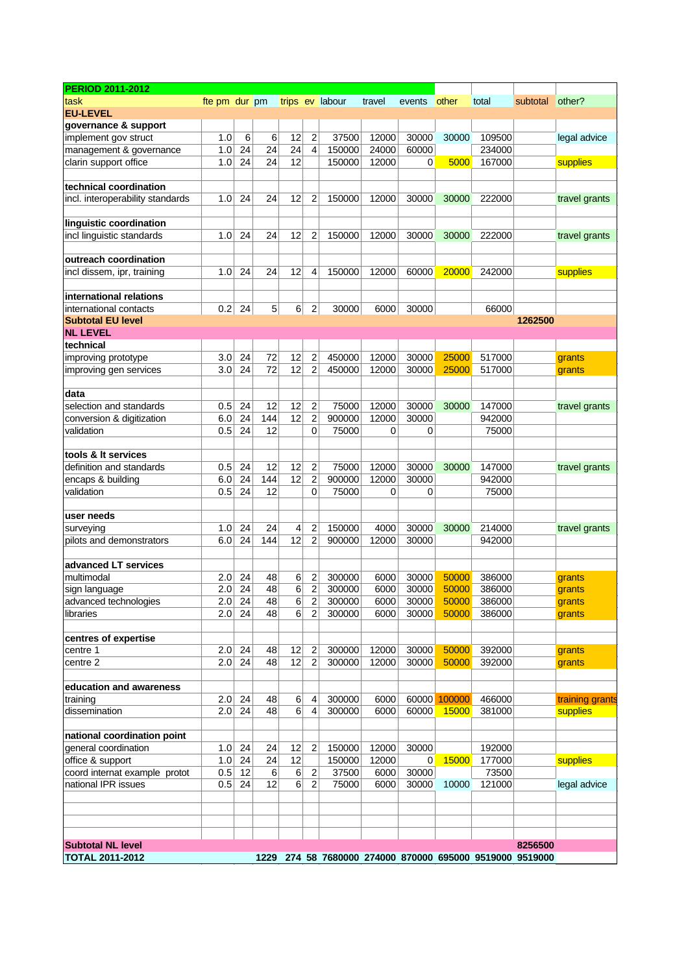| <b>PERIOD 2011-2012</b>          |               |          |      |    |                |                 |        |        |              |                                                     |          |                 |
|----------------------------------|---------------|----------|------|----|----------------|-----------------|--------|--------|--------------|-----------------------------------------------------|----------|-----------------|
| task                             | fte pm dur pm |          |      |    |                | trips ev labour | travel | events | other        | total                                               | subtotal | other?          |
| <b>EU-LEVEL</b>                  |               |          |      |    |                |                 |        |        |              |                                                     |          |                 |
| governance & support             |               |          |      |    |                |                 |        |        |              |                                                     |          |                 |
| implement gov struct             | 1.0           | 6        | 6    | 12 | $\overline{2}$ | 37500           | 12000  | 30000  | 30000        | 109500                                              |          | legal advice    |
| management & governance          | 1.0           | 24       | 24   | 24 | 4              | 150000          | 24000  | 60000  |              | 234000                                              |          |                 |
| clarin support office            | 1.0           | 24       | 24   | 12 |                | 150000          | 12000  | 0      | 5000         | 167000                                              |          | supplies        |
|                                  |               |          |      |    |                |                 |        |        |              |                                                     |          |                 |
| technical coordination           |               |          |      |    |                |                 |        |        |              |                                                     |          |                 |
| incl. interoperability standards | 1.0           | 24       | 24   | 12 | 2              | 150000          | 12000  | 30000  | 30000        | 222000                                              |          | travel grants   |
|                                  |               |          |      |    |                |                 |        |        |              |                                                     |          |                 |
| linguistic coordination          |               |          |      |    |                |                 |        |        |              |                                                     |          |                 |
| incl linguistic standards        | 1.0           | 24       | 24   | 12 | 2              | 150000          | 12000  | 30000  | 30000        | 222000                                              |          | travel grants   |
|                                  |               |          |      |    |                |                 |        |        |              |                                                     |          |                 |
| outreach coordination            |               |          |      |    |                |                 |        |        |              |                                                     |          |                 |
| incl dissem, ipr, training       | 1.0           | 24       | 24   | 12 | 4              | 150000          | 12000  | 60000  | 20000        | 242000                                              |          | supplies        |
|                                  |               |          |      |    |                |                 |        |        |              |                                                     |          |                 |
| international relations          |               |          |      |    |                |                 |        |        |              |                                                     |          |                 |
| international contacts           | 0.2           | 24       | 5    | 6  | 2              | 30000           | 6000   | 30000  |              | 66000                                               |          |                 |
| <b>Subtotal EU level</b>         |               |          |      |    |                |                 |        |        |              |                                                     | 1262500  |                 |
| <b>NL LEVEL</b>                  |               |          |      |    |                |                 |        |        |              |                                                     |          |                 |
| technical                        |               |          |      |    |                |                 |        |        |              |                                                     |          |                 |
| improving prototype              | 3.0           | 24       | 72   | 12 | $\overline{2}$ | 450000          | 12000  | 30000  | 25000        | 517000                                              |          | grants          |
| improving gen services           | 3.0           | 24       | 72   | 12 | $\overline{2}$ | 450000          | 12000  | 30000  | 25000        | 517000                                              |          | grants          |
|                                  |               |          |      |    |                |                 |        |        |              |                                                     |          |                 |
| data                             |               |          |      |    |                |                 |        |        |              |                                                     |          |                 |
| selection and standards          | 0.5           | 24       | 12   | 12 | $\overline{2}$ | 75000           | 12000  | 30000  | 30000        | 147000                                              |          | travel grants   |
| conversion & digitization        | 6.0           | 24       | 144  | 12 | $\overline{2}$ | 900000          | 12000  | 30000  |              | 942000                                              |          |                 |
| validation                       | 0.5           | 24       | 12   |    | 0              | 75000           | 0      | 0      |              | 75000                                               |          |                 |
|                                  |               |          |      |    |                |                 |        |        |              |                                                     |          |                 |
| tools & It services              |               |          |      |    |                |                 |        |        |              |                                                     |          |                 |
| definition and standards         | 0.5           | 24       | 12   | 12 | 2              | 75000           | 12000  | 30000  | 30000        | 147000                                              |          | travel grants   |
| encaps & building                | 6.0           | 24       | 144  | 12 | 2              | 900000          | 12000  | 30000  |              | 942000                                              |          |                 |
| validation                       | 0.5           | 24       | 12   |    | 0              | 75000           | 0      | 0      |              | 75000                                               |          |                 |
|                                  |               |          |      |    |                |                 |        |        |              |                                                     |          |                 |
| user needs                       |               |          |      |    |                |                 |        |        |              |                                                     |          |                 |
| surveying                        | 1.0           | 24       | 24   | 4  | 2              | 150000          | 4000   | 30000  | 30000        | 214000                                              |          | travel grants   |
| pilots and demonstrators         | 6.0           | 24       | 144  | 12 | $\overline{2}$ | 900000          | 12000  | 30000  |              | 942000                                              |          |                 |
|                                  |               |          |      |    |                |                 |        |        |              |                                                     |          |                 |
| advanced LT services             |               |          |      |    |                |                 |        |        |              |                                                     |          |                 |
| multimodal                       | 2.0           | 24       | 48   | 6  | 2              | 300000          | 6000   | 30000  | 50000        | 386000                                              |          | grants          |
| sign language                    | 2.0           | 24       | 48   | 6  | $\overline{c}$ | 300000          | 6000   | 30000  | 50000        | 386000                                              |          | grants          |
| advanced technologies            |               | $2.0$ 24 | 48   | 6  | $\overline{c}$ | 300000          | 6000   | 30000  | 50000        | 386000                                              |          | grants          |
| libraries                        |               | $2.0$ 24 | 48   | 6  | $\overline{2}$ | 300000          | 6000   | 30000  | 50000        | 386000                                              |          | grants          |
|                                  |               |          |      |    |                |                 |        |        |              |                                                     |          |                 |
| centres of expertise             |               |          |      |    |                |                 |        |        |              |                                                     |          |                 |
| centre 1                         | 2.0           | 24       | 48   | 12 | $\overline{2}$ | 300000          | 12000  | 30000  | 50000        | 392000                                              |          | grants          |
| centre 2                         | 2.0           | 24       | 48   | 12 | $\overline{c}$ | 300000          | 12000  | 30000  | 50000        | 392000                                              |          | grants          |
|                                  |               |          |      |    |                |                 |        |        |              |                                                     |          |                 |
| education and awareness          |               |          |      |    |                |                 |        |        |              |                                                     |          |                 |
| training                         | 2.0           | 24       | 48   | 6  | 4              | 300000          | 6000   |        | 60000 100000 | 466000                                              |          | training grants |
| dissemination                    | 2.0           | 24       | 48   | 6  | 4              | 300000          | 6000   | 60000  | 15000        | 381000                                              |          | supplies        |
|                                  |               |          |      |    |                |                 |        |        |              |                                                     |          |                 |
| national coordination point      |               |          |      |    |                |                 |        |        |              |                                                     |          |                 |
| general coordination             | 1.0           | 24       | 24   | 12 | $\overline{2}$ | 150000          | 12000  | 30000  |              | 192000                                              |          |                 |
| office & support                 | 1.0           | 24       | 24   | 12 |                | 150000          | 12000  | 0      | 15000        | 177000                                              |          | supplies        |
| coord internat example protot    | 0.5           | 12       | 6    | 6  | $\sqrt{2}$     | 37500           | 6000   | 30000  |              | 73500                                               |          |                 |
| national IPR issues              | 0.5           | 24       | 12   | 6  | $\overline{2}$ | 75000           | 6000   | 30000  | 10000        | 121000                                              |          | legal advice    |
|                                  |               |          |      |    |                |                 |        |        |              |                                                     |          |                 |
|                                  |               |          |      |    |                |                 |        |        |              |                                                     |          |                 |
|                                  |               |          |      |    |                |                 |        |        |              |                                                     |          |                 |
|                                  |               |          |      |    |                |                 |        |        |              |                                                     | 8256500  |                 |
| <b>Subtotal NL level</b>         |               |          |      |    |                |                 |        |        |              |                                                     |          |                 |
| <b>TOTAL 2011-2012</b>           |               |          | 1229 |    |                |                 |        |        |              | 274 58 7680000 274000 870000 695000 9519000 9519000 |          |                 |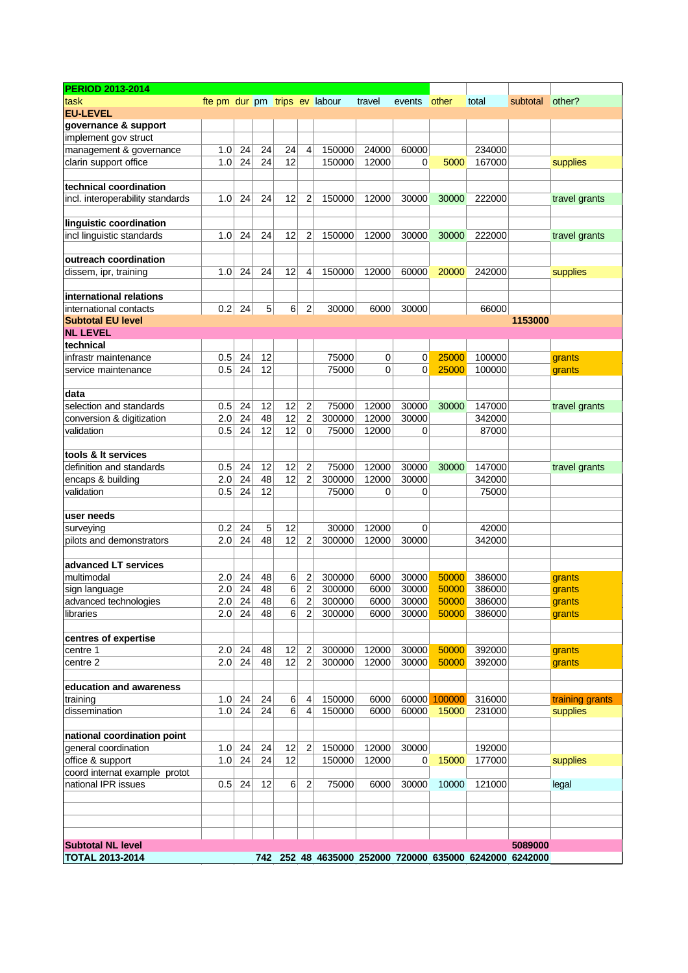| <b>PERIOD 2013-2014</b>               |                               |          |    |                |                |        |        |            |              |                                                         |          |                 |
|---------------------------------------|-------------------------------|----------|----|----------------|----------------|--------|--------|------------|--------------|---------------------------------------------------------|----------|-----------------|
| task                                  | fte pm dur pm trips ev labour |          |    |                |                |        | travel | events     | other        | total                                                   | subtotal | other?          |
| <b>EU-LEVEL</b>                       |                               |          |    |                |                |        |        |            |              |                                                         |          |                 |
| governance & support                  |                               |          |    |                |                |        |        |            |              |                                                         |          |                 |
| implement gov struct                  |                               |          |    |                |                |        |        |            |              |                                                         |          |                 |
| management & governance               | 1.0                           | 24       | 24 | 24             | 4              | 150000 | 24000  | 60000      |              | 234000                                                  |          |                 |
| clarin support office                 | 1.0                           | 24       | 24 | 12             |                | 150000 | 12000  | 0          | 5000         | 167000                                                  |          | supplies        |
|                                       |                               |          |    |                |                |        |        |            |              |                                                         |          |                 |
| technical coordination                |                               |          |    |                |                |        |        |            |              |                                                         |          |                 |
| incl. interoperability standards      | 1.0                           | 24       | 24 | 12             | $\overline{2}$ | 150000 | 12000  | 30000      | 30000        | 222000                                                  |          | travel grants   |
|                                       |                               |          |    |                |                |        |        |            |              |                                                         |          |                 |
| linguistic coordination               |                               |          |    |                |                |        |        |            |              |                                                         |          |                 |
| incl linguistic standards             | 1.0                           | 24       | 24 | 12             | 2              | 150000 | 12000  | 30000      | 30000        | 222000                                                  |          | travel grants   |
|                                       |                               |          |    |                |                |        |        |            |              |                                                         |          |                 |
| outreach coordination                 |                               |          |    |                |                |        |        |            |              |                                                         |          |                 |
| dissem, ipr, training                 | 1.0                           | 24       | 24 | 12             | 4              | 150000 | 12000  | 60000      | 20000        | 242000                                                  |          | supplies        |
|                                       |                               |          |    |                |                |        |        |            |              |                                                         |          |                 |
| international relations               |                               |          |    |                |                |        |        |            |              |                                                         |          |                 |
| international contacts                | 0.2                           | 24       | 5  | 6              | $\overline{2}$ | 30000  | 6000   | 30000      |              | 66000                                                   |          |                 |
| <b>Subtotal EU level</b>              |                               |          |    |                |                |        |        |            |              |                                                         | 1153000  |                 |
| <b>NL LEVEL</b>                       |                               |          |    |                |                |        |        |            |              |                                                         |          |                 |
| technical                             |                               |          |    |                |                |        |        |            |              |                                                         |          |                 |
| infrastr maintenance                  | 0.5                           | 24       | 12 |                |                | 75000  | 0      | 0          | 25000        | 100000                                                  |          | grants          |
| service maintenance                   | 0.5                           | 24       | 12 |                |                | 75000  | 0      | 0          | 25000        | 100000                                                  |          | grants          |
|                                       |                               |          |    |                |                |        |        |            |              |                                                         |          |                 |
| data                                  |                               |          |    |                |                |        |        |            |              |                                                         |          |                 |
| selection and standards               | 0.5                           | 24       | 12 | 12             | $\overline{2}$ | 75000  | 12000  | 30000      | 30000        | 147000                                                  |          | travel grants   |
| conversion & digitization             | 2.0                           | 24       | 48 | 12             | $\overline{2}$ | 300000 | 12000  | 30000      |              | 342000                                                  |          |                 |
| validation                            | 0.5                           | 24       | 12 | 12             | 0              | 75000  | 12000  | 0          |              | 87000                                                   |          |                 |
|                                       |                               |          |    |                |                |        |        |            |              |                                                         |          |                 |
| tools & It services                   |                               |          |    |                |                |        |        |            |              |                                                         |          |                 |
| definition and standards              | 0.5                           | 24       | 12 | 12             | 2              | 75000  | 12000  | 30000      | 30000        | 147000                                                  |          | travel grants   |
| encaps & building                     | 2.0                           | 24       | 48 | 12             | $\overline{2}$ | 300000 | 12000  | 30000      |              | 342000                                                  |          |                 |
| validation                            | 0.5                           | 24       | 12 |                |                | 75000  | 0      | 0          |              | 75000                                                   |          |                 |
|                                       |                               |          |    |                |                |        |        |            |              |                                                         |          |                 |
| user needs                            |                               |          | 5  | 12             |                | 30000  | 12000  |            |              |                                                         |          |                 |
| surveying<br>pilots and demonstrators | 0.2<br>2.0                    | 24<br>24 | 48 | 12             |                | 300000 | 12000  | 0<br>30000 |              | 42000<br>342000                                         |          |                 |
|                                       |                               |          |    |                | 2              |        |        |            |              |                                                         |          |                 |
| advanced LT services                  |                               |          |    |                |                |        |        |            |              |                                                         |          |                 |
| multimodal                            | 2.0                           | 24       | 48 | 6              | 2              | 300000 | 6000   | 30000      | 50000        | 386000                                                  |          | grants          |
| sign language                         | 2.0                           | 24       | 48 | 6              | $\overline{c}$ | 300000 | 6000   | 30000      | 50000        | 386000                                                  |          | grants          |
| advanced technologies                 |                               | $2.0$ 24 | 48 | $\overline{6}$ | $\overline{2}$ | 300000 | 6000   | 30000      | 50000        | 386000                                                  |          | grants          |
| libraries                             | 2.0                           | 24       | 48 | 6              | $\overline{2}$ | 300000 | 6000   | 30000      | 50000        | 386000                                                  |          | grants          |
|                                       |                               |          |    |                |                |        |        |            |              |                                                         |          |                 |
| centres of expertise                  |                               |          |    |                |                |        |        |            |              |                                                         |          |                 |
| centre 1                              | 2.0                           | 24       | 48 | 12             | $\overline{c}$ | 300000 | 12000  | 30000      | 50000        | 392000                                                  |          | grants          |
| centre 2                              | 2.0                           | 24       | 48 | 12             | $\overline{2}$ | 300000 | 12000  | 30000      | 50000        | 392000                                                  |          | grants          |
|                                       |                               |          |    |                |                |        |        |            |              |                                                         |          |                 |
| education and awareness               |                               |          |    |                |                |        |        |            |              |                                                         |          |                 |
| training                              | 1.0                           | 24       | 24 | 6              | 4              | 150000 | 6000   |            | 60000 100000 | 316000                                                  |          | training grants |
| dissemination                         | 1.0                           | 24       | 24 | 6              | 4              | 150000 | 6000   | 60000      | 15000        | 231000                                                  |          | supplies        |
|                                       |                               |          |    |                |                |        |        |            |              |                                                         |          |                 |
| national coordination point           |                               |          |    |                |                |        |        |            |              |                                                         |          |                 |
| general coordination                  | 1.0                           | 24       | 24 | 12             | $\overline{c}$ | 150000 | 12000  | 30000      |              | 192000                                                  |          |                 |
| office & support                      | 1.0                           | 24       | 24 | 12             |                | 150000 | 12000  | 0          | 15000        | 177000                                                  |          | supplies        |
| coord internat example protot         |                               |          |    |                |                |        |        |            |              |                                                         |          |                 |
| national IPR issues                   | 0.5                           | 24       | 12 | 6              | 2              | 75000  | 6000   | 30000      | 10000        | 121000                                                  |          | legal           |
|                                       |                               |          |    |                |                |        |        |            |              |                                                         |          |                 |
|                                       |                               |          |    |                |                |        |        |            |              |                                                         |          |                 |
|                                       |                               |          |    |                |                |        |        |            |              |                                                         |          |                 |
|                                       |                               |          |    |                |                |        |        |            |              |                                                         |          |                 |
| <b>Subtotal NL level</b>              |                               |          |    |                |                |        |        |            |              |                                                         | 5089000  |                 |
| <b>TOTAL 2013-2014</b>                |                               |          |    |                |                |        |        |            |              | 742 252 48 4635000 252000 720000 635000 6242000 6242000 |          |                 |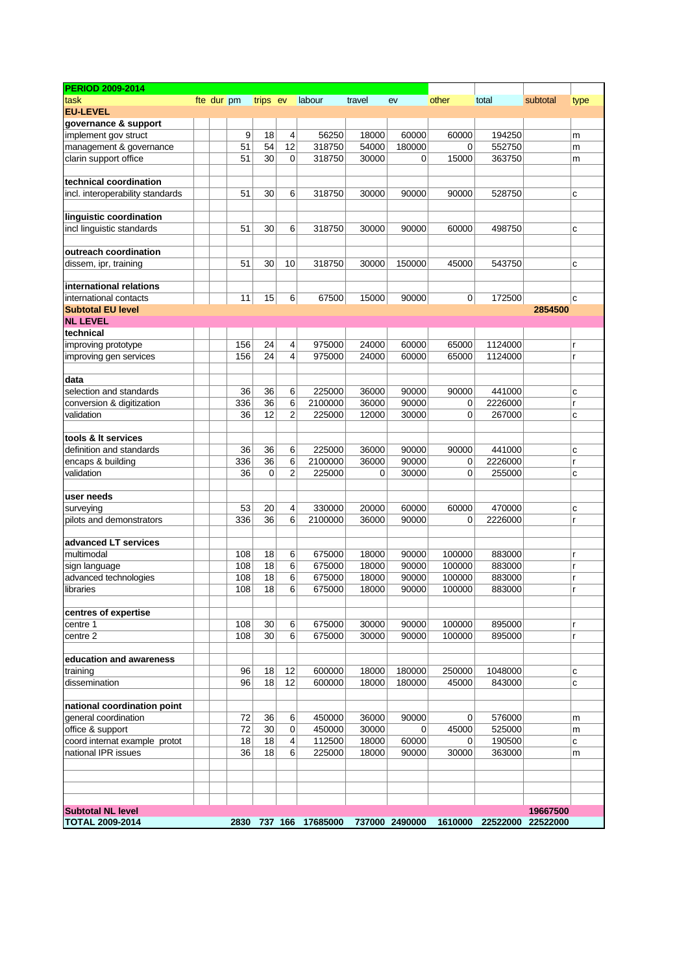| <b>PERIOD 2009-2014</b>          |            |     |          |                |                       |        |                  |        |                           |          |      |
|----------------------------------|------------|-----|----------|----------------|-----------------------|--------|------------------|--------|---------------------------|----------|------|
| task                             | fte dur pm |     | trips ev |                | labour                | travel | ev               | other  | total                     | subtotal | type |
| <b>EU-LEVEL</b>                  |            |     |          |                |                       |        |                  |        |                           |          |      |
| governance & support             |            |     |          |                |                       |        |                  |        |                           |          |      |
| implement gov struct             |            | 9   | 18       | 4              | 56250                 | 18000  | 60000            | 60000  | 194250                    |          | m    |
| management & governance          |            | 51  | 54       | 12             | 318750                | 54000  | 180000           | 0      | 552750                    |          | m    |
| clarin support office            |            | 51  | 30       | 0              | 318750                | 30000  | 0                | 15000  | 363750                    |          | m    |
|                                  |            |     |          |                |                       |        |                  |        |                           |          |      |
| technical coordination           |            |     |          |                |                       |        |                  |        |                           |          |      |
| incl. interoperability standards |            | 51  | 30       | 6              | 318750                | 30000  | 90000            | 90000  | 528750                    |          | С    |
|                                  |            |     |          |                |                       |        |                  |        |                           |          |      |
| linguistic coordination          |            | 51  | 30       | 6              | 318750                | 30000  | 90000            |        | 498750                    |          |      |
| incl linguistic standards        |            |     |          |                |                       |        |                  | 60000  |                           |          | C    |
| outreach coordination            |            |     |          |                |                       |        |                  |        |                           |          |      |
| dissem, ipr, training            |            | 51  | 30       | 10             | 318750                | 30000  | 150000           | 45000  | 543750                    |          | C    |
|                                  |            |     |          |                |                       |        |                  |        |                           |          |      |
| international relations          |            |     |          |                |                       |        |                  |        |                           |          |      |
| international contacts           |            | 11  | 15       | 6              | 67500                 | 15000  | 90000            | 0      | 172500                    |          | C    |
| <b>Subtotal EU level</b>         |            |     |          |                |                       |        |                  |        |                           | 2854500  |      |
| <b>NL LEVEL</b>                  |            |     |          |                |                       |        |                  |        |                           |          |      |
| technical                        |            |     |          |                |                       |        |                  |        |                           |          |      |
| improving prototype              |            | 156 | 24       | 4              | 975000                | 24000  | 60000            | 65000  | 1124000                   |          |      |
| improving gen services           |            | 156 | 24       | 4              | 975000                | 24000  | 60000            | 65000  | 1124000                   |          | r    |
|                                  |            |     |          |                |                       |        |                  |        |                           |          |      |
| data                             |            |     |          |                |                       |        |                  |        |                           |          |      |
| selection and standards          |            | 36  | 36       | 6              | 225000                | 36000  | 90000            | 90000  | 441000                    |          | C    |
| conversion & digitization        |            | 336 | 36       | 6              | 2100000               | 36000  | 90000            | 0      | 2226000                   |          | r    |
| validation                       |            | 36  | 12       | $\overline{2}$ | 225000                | 12000  | 30000            | 0      | 267000                    |          | C    |
|                                  |            |     |          |                |                       |        |                  |        |                           |          |      |
| tools & It services              |            |     |          |                |                       |        |                  |        |                           |          |      |
| definition and standards         |            | 36  | 36       | 6              | 225000                | 36000  | 90000            | 90000  | 441000                    |          | C    |
| encaps & building                |            | 336 | 36<br>0  | 6<br>2         | 2100000               | 36000  | 90000            | 0<br>0 | 2226000                   |          | r    |
| validation                       |            | 36  |          |                | 225000                | 0      | 30000            |        | 255000                    |          | C    |
| user needs                       |            |     |          |                |                       |        |                  |        |                           |          |      |
| surveying                        |            | 53  | 20       | 4              | 330000                | 20000  | 60000            | 60000  | 470000                    |          | C    |
| pilots and demonstrators         |            | 336 | 36       | 6              | 2100000               | 36000  | 90000            | 0      | 2226000                   |          | r    |
|                                  |            |     |          |                |                       |        |                  |        |                           |          |      |
| advanced LT services             |            |     |          |                |                       |        |                  |        |                           |          |      |
| multimodal                       |            | 108 | 18       | 6              | 675000                | 18000  | 90000            | 100000 | 883000                    |          | r    |
| sign language                    |            | 108 | 18       | 6              | 675000                | 18000  | 90000            | 100000 | 883000                    |          |      |
| advanced technologies            |            | 108 | 18       | 6              | 675000                | 18000  | 90000            | 100000 | 883000                    |          | r    |
| libraries                        |            | 108 | 18       | 6              | 675000                | 18000  | 90000            | 100000 | 883000                    |          | r    |
|                                  |            |     |          |                |                       |        |                  |        |                           |          |      |
| centres of expertise             |            |     |          |                |                       |        |                  |        |                           |          |      |
| centre 1                         |            | 108 | 30       | 6              | 675000                | 30000  | 90000            | 100000 | 895000                    |          | r    |
| centre 2                         |            | 108 | 30       | 6              | 675000                | 30000  | 90000            | 100000 | 895000                    |          | r    |
|                                  |            |     |          |                |                       |        |                  |        |                           |          |      |
| education and awareness          |            |     |          |                |                       |        |                  |        |                           |          |      |
| training                         |            | 96  | 18<br>18 | 12<br>12       | 600000<br>600000      | 18000  | 180000<br>180000 | 250000 | 1048000                   |          | С    |
| dissemination                    |            | 96  |          |                |                       | 18000  |                  | 45000  | 843000                    |          | C    |
| national coordination point      |            |     |          |                |                       |        |                  |        |                           |          |      |
| general coordination             |            | 72  | 36       | 6              | 450000                | 36000  | 90000            | 0      | 576000                    |          | m    |
| office & support                 |            | 72  | 30       | 0              | 450000                | 30000  | 0                | 45000  | 525000                    |          | m    |
| coord internat example protot    |            | 18  | 18       | 4              | 112500                | 18000  | 60000            | 0      | 190500                    |          | С    |
| national IPR issues              |            | 36  | 18       | 6              | 225000                | 18000  | 90000            | 30000  | 363000                    |          | m    |
|                                  |            |     |          |                |                       |        |                  |        |                           |          |      |
|                                  |            |     |          |                |                       |        |                  |        |                           |          |      |
| <b>Subtotal NL level</b>         |            |     |          |                |                       |        |                  |        |                           | 19667500 |      |
| <b>TOTAL 2009-2014</b>           |            |     |          |                | 2830 737 166 17685000 |        | 737000 2490000   |        | 1610000 22522000 22522000 |          |      |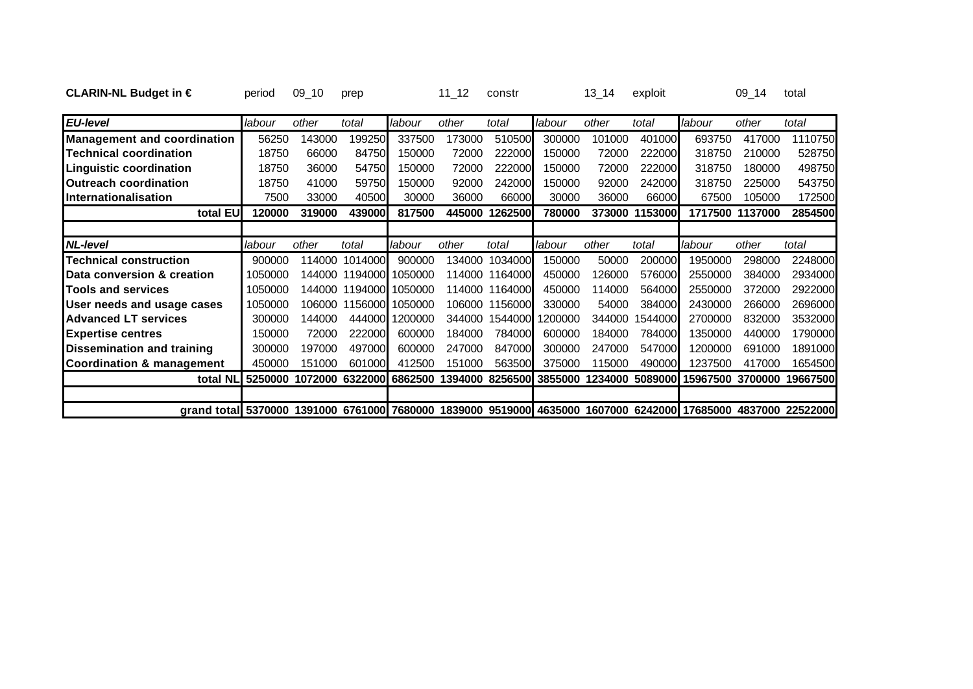| CLARIN-NL Budget in $\in$                                                                                     | period  | $09 - 10$ | prep    |         | $11_12$ | constr         |                 | 13 14  | exploit         |                          | $09 - 14$       | total    |
|---------------------------------------------------------------------------------------------------------------|---------|-----------|---------|---------|---------|----------------|-----------------|--------|-----------------|--------------------------|-----------------|----------|
| <b>EU-level</b>                                                                                               | labour  | other     | total   | labour  | other   | total          | labour          | other  | total           | labour                   | other           | total    |
| <b>Management and coordination</b>                                                                            | 56250   | 143000    | 199250  | 337500  | 173000  | 510500         | 300000          | 101000 | 401000          | 693750                   | 417000          | 1110750  |
| <b>Technical coordination</b>                                                                                 | 18750   | 66000     | 84750   | 150000  | 72000   | 222000         | 150000          | 72000  | 222000          | 318750                   | 210000          | 528750   |
| <b>Linguistic coordination</b>                                                                                | 18750   | 36000     | 54750   | 150000  | 72000   | 222000         | 150000          | 72000  | 222000          | 318750                   | 180000          | 498750   |
| <b>Outreach coordination</b>                                                                                  | 18750   | 41000     | 59750   | 150000  | 92000   | 242000         | 150000          | 92000  | 242000          | 318750                   | 225000          | 543750   |
| Internationalisation                                                                                          | 7500    | 33000     | 40500   | 30000   | 36000   | 66000          | 30000           | 36000  | 66000           | 67500                    | 105000          | 172500   |
| total EU                                                                                                      | 120000  | 319000    | 439000  | 817500  | 445000  | 1262500        | 780000          | 373000 | 1153000         |                          | 1717500 1137000 | 2854500  |
|                                                                                                               |         |           |         |         |         |                |                 |        |                 |                          |                 |          |
| <b>NL-level</b>                                                                                               | labour  | other     | total   | labour  | other   | total          | labour          | other  | total           | labour                   | other           | total    |
| <b>Technical construction</b>                                                                                 | 900000  | 114000    | 1014000 | 900000  | 134000  | 1034000        | 150000          | 50000  | 200000          | 1950000                  | 298000          | 2248000  |
| Data conversion & creation                                                                                    | 1050000 | 144000    | 1194000 | 1050000 | 114000  | 1164000        | 450000          | 126000 | 576000          | 2550000                  | 384000          | 2934000  |
| <b>Tools and services</b>                                                                                     | 1050000 | 144000    | 1194000 | 1050000 | 114000  | 1164000        | 450000          | 14000  | 564000          | 2550000                  | 372000          | 2922000  |
| User needs and usage cases                                                                                    | 1050000 | 106000    | 1156000 | 1050000 |         | 106000 1156000 | 330000          | 54000  | 384000          | 2430000                  | 266000          | 2696000  |
| <b>Advanced LT services</b>                                                                                   | 300000  | 144000    | 444000  | 1200000 | 344000  | 1544000        | 200000          | 344000 | 1544000         | 2700000                  | 832000          | 3532000  |
| <b>Expertise centres</b>                                                                                      | 150000  | 72000     | 222000  | 600000  | 184000  | 784000         | 600000          | 184000 | 784000 <b>1</b> | 1350000                  | 440000          | 1790000  |
| Dissemination and training                                                                                    | 300000  | 197000    | 497000  | 600000  | 247000  | 847000         | 300000          | 247000 | 547000          | 1200000                  | 691000          | 1891000  |
| <b>Coordination &amp; management</b>                                                                          | 450000  | 151000    | 601000  | 412500  | 151000  | 563500         | 375000          | 115000 | 490000          | 1237500                  | 417000          | 1654500  |
| total NL                                                                                                      | 5250000 | 1072000   | 6322000 | 6862500 | 1394000 |                | 8256500 3855000 |        |                 | 1234000 5089000 15967500 | 3700000         | 19667500 |
|                                                                                                               |         |           |         |         |         |                |                 |        |                 |                          |                 |          |
| grand total 5370000 1391000 6761000 7680000 1839000 9519000 4635000 1607000 6242000 17685000 4837000 22522000 |         |           |         |         |         |                |                 |        |                 |                          |                 |          |